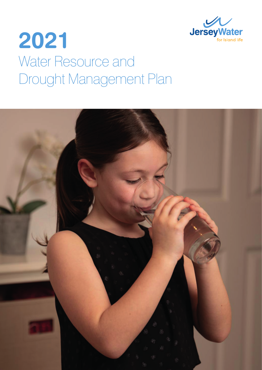

# **2021** Water Resource and Drought Management Plan

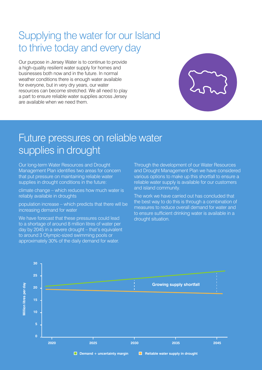## Supplying the water for our Island to thrive today and every day

Our purpose in Jersey Water is to continue to provide a high-quality resilient water supply for homes and businesses both now and in the future. In normal weather conditions there is enough water available for everyone, but in very dry years, our water resources can become stretched. We all need to play a part to ensure reliable water supplies across Jersey are available when we need them.



## Future pressures on reliable water supplies in drought

Our long-term Water Resources and Drought Management Plan identifies two areas for concern that put pressure on maintaining reliable water supplies in drought conditions in the future:

climate change – which reduces how much water is reliably available in droughts

population increase – which predicts that there will be increasing demand for water

We have forecast that these pressures could lead to a shortage of around 8 million litres of water per day by 2045 in a severe drought – that's equivalent to around 3 Olympic-sized swimming pools or approximately 30% of the daily demand for water.

Through the development of our Water Resources and Drought Management Plan we have considered various options to make up this shortfall to ensure a reliable water supply is available for our customers and island community.

The work we have carried out has concluded that the best way to do this is through a combination of measures to reduce overall demand for water and to ensure sufficient drinking water is available in a drought situation.

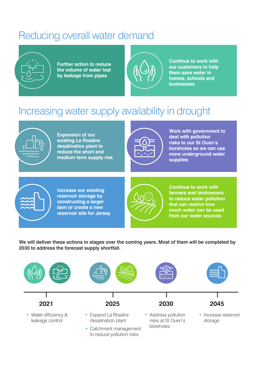# Reducing overall water demand



**Further action to reduce the volume of water lost by leakage from pipes**



**Continue to work with our customers to help them save water in homes, schools and businesses** 

# Increasing water supply availability in drought



**Expansion of our existing La Rosière desalination plant to reduce the short and medium term supply risk** 



**Work with government to deal with pollution risks to our St Ouen's boreholes so we can use more underground water supplies** 



**Increase our existing reservoir storage by constructing a larger dam or create a new reservoir site for Jersey** 



**Continue to work with farmers and landowners to reduce water pollution that can restrict how much water can be used from our water sources**

**We will deliver these actions in stages over the coming years. Most of them will be completed by 2030 to address the forecast supply shortfall.**